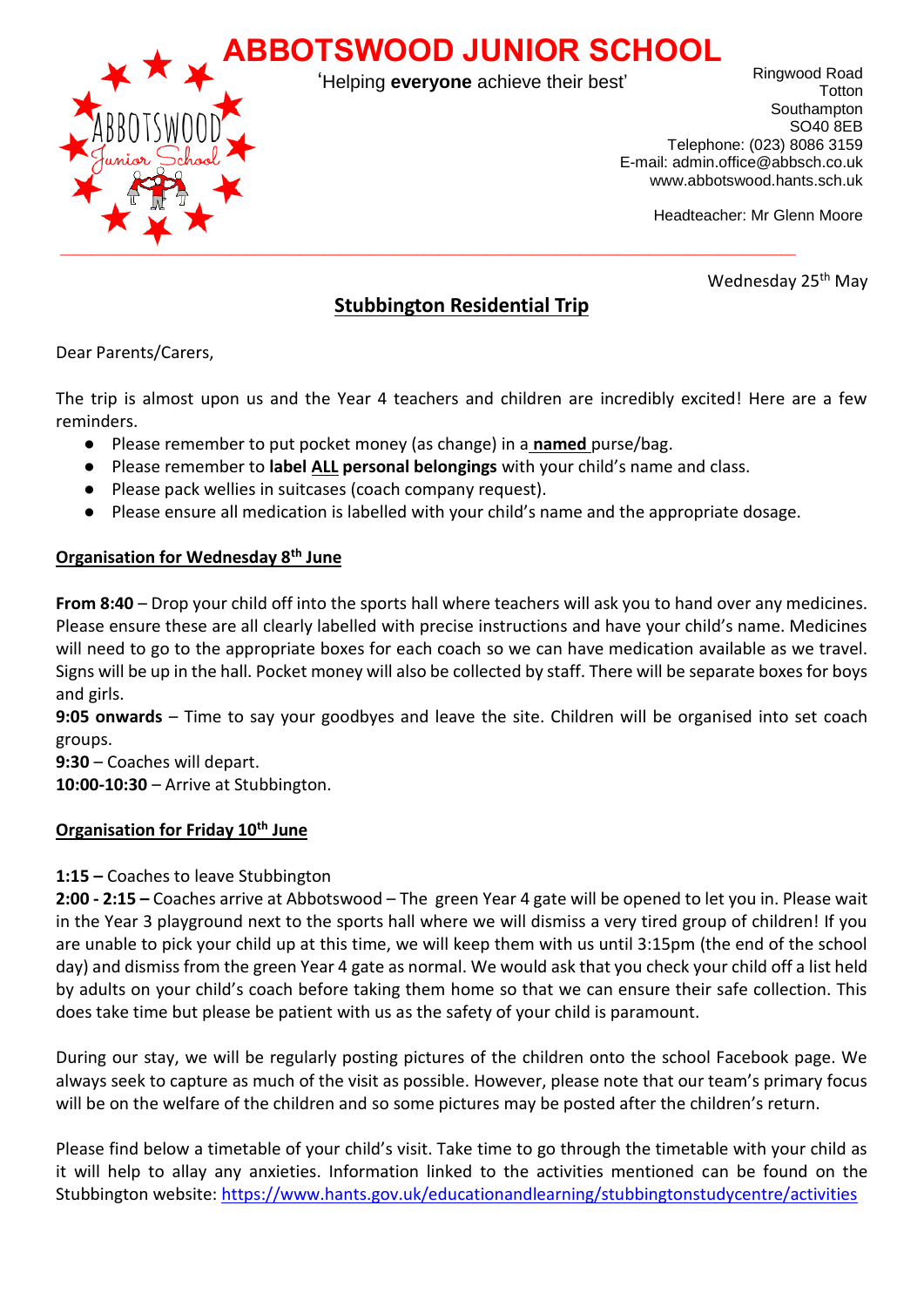

'Helping **everyone** achieve their best'

Ringwood Road **Totton** Southampton SO40 8EB Telephone: (023) 8086 3159 E-mail: admin.office@abbsch.co.uk www.abbotswood.hants.sch.uk

Headteacher: Mr Glenn Moore

Wednesday 25<sup>th</sup> May

# **Stubbington Residential Trip**

Dear Parents/Carers,

The trip is almost upon us and the Year 4 teachers and children are incredibly excited! Here are a few reminders.

- Please remember to put pocket money (as change) in a **named** purse/bag.
- Please remember to **label ALL personal belongings** with your child's name and class.
- Please pack wellies in suitcases (coach company request).
- Please ensure all medication is labelled with your child's name and the appropriate dosage.

## **Organisation for Wednesday 8th June**

**From 8:40** – Drop your child off into the sports hall where teachers will ask you to hand over any medicines. Please ensure these are all clearly labelled with precise instructions and have your child's name. Medicines will need to go to the appropriate boxes for each coach so we can have medication available as we travel. Signs will be up in the hall. Pocket money will also be collected by staff. There will be separate boxes for boys and girls.

**9:05 onwards** – Time to say your goodbyes and leave the site. Children will be organised into set coach groups.

**9:30** – Coaches will depart. **10:00-10:30** – Arrive at Stubbington.

## **Organisation for Friday 10th June**

## **1:15 –** Coaches to leave Stubbington

**2:00 - 2:15 –** Coaches arrive at Abbotswood – The green Year 4 gate will be opened to let you in. Please wait in the Year 3 playground next to the sports hall where we will dismiss a very tired group of children! If you are unable to pick your child up at this time, we will keep them with us until 3:15pm (the end of the school day) and dismiss from the green Year 4 gate as normal. We would ask that you check your child off a list held by adults on your child's coach before taking them home so that we can ensure their safe collection. This does take time but please be patient with us as the safety of your child is paramount.

During our stay, we will be regularly posting pictures of the children onto the school Facebook page. We always seek to capture as much of the visit as possible. However, please note that our team's primary focus will be on the welfare of the children and so some pictures may be posted after the children's return.

Please find below a timetable of your child's visit. Take time to go through the timetable with your child as it will help to allay any anxieties. Information linked to the activities mentioned can be found on the Stubbington website[: https://www.hants.gov.uk/educationandlearning/stubbingtonstudycentre/activities](https://www.hants.gov.uk/educationandlearning/stubbingtonstudycentre/activities)